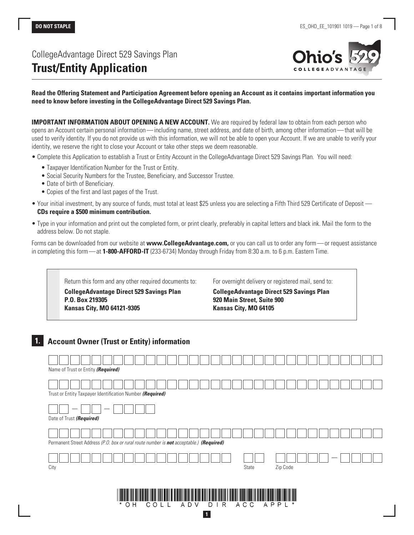# CollegeAdvantage Direct 529 Savings Plan **Trust/Entity Application**



#### **Read the Offering Statement and Participation Agreement before opening an Account as it contains important information you need to know before investing in the CollegeAdvantage Direct 529 Savings Plan.**

**IMPORTANT INFORMATION ABOUT OPENING A NEW ACCOUNT.** We are required by federal law to obtain from each person who opens an Account certain personal information—including name, street address, and date of birth, among other information—that will be used to verify identity. If you do not provide us with this information, we will not be able to open your Account. If we are unable to verify your identity, we reserve the right to close your Account or take other steps we deem reasonable.

- Complete this Application to establish a Trust or Entity Account in the CollegeAdvantage Direct 529 Savings Plan. You will need:
	- Taxpayer Identification Number for the Trust or Entity.
	- Social Security Numbers for the Trustee, Beneficiary, and Successor Trustee.
	- Date of birth of Beneficiary.

**P.O. Box 219305**

- Copies of the first and last pages of the Trust.
- Your initial investment, by any source of funds, must total at least \$25 unless you are selecting a Fifth Third 529 Certificate of Deposit **CDs require a \$500 minimum contribution.**
- Type in your information and print out the completed form, or print clearly, preferably in capital letters and black ink. Mail the form to the address below. Do not staple.

Forms can be downloaded from our website at **www.CollegeAdvantage.com,** or you can call us to order any form—or request assistance in completing this form—at **1-800-AFFORD-IT** (233-6734) Monday through Friday from 8:30 a.m. to 6 p.m. Eastern Time.

Return this form and any other required documents to: **CollegeAdvantage Direct 529 Savings Plan**

For overnight delivery or registered mail, send to:

**CollegeAdvantage Direct 529 Savings Plan 920 Main Street, Suite 900 Kansas City, MO 64105**

|  |  |  |  |  |  | <b>Account Owner (Trust or Entity) information</b> |
|--|--|--|--|--|--|----------------------------------------------------|
|--|--|--|--|--|--|----------------------------------------------------|

**Kansas City, MO 64121-9305**

| Name of Trust or Entity (Required)                                                      |
|-----------------------------------------------------------------------------------------|
| Trust or Entity Taxpayer Identification Number (Required)                               |
|                                                                                         |
| Date of Trust (Required)                                                                |
|                                                                                         |
| Permanent Street Address (P.O. box or rural route number is not acceptable.) (Required) |
|                                                                                         |
|                                                                                         |
| Zip Code<br>City<br>State                                                               |
|                                                                                         |
|                                                                                         |
| $\star$<br>O H<br>APPL<br>A C C<br>$\ast$<br>R<br>COLL<br>A D<br>D<br>V                 |
| $\mathbf{1}$                                                                            |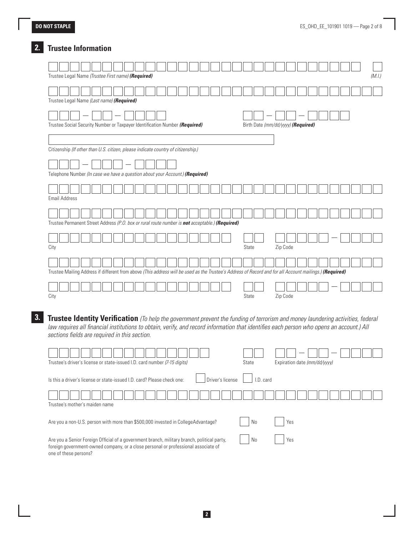## **2. Trustee Information**

| (M.I.)<br>Trustee Legal Name (Trustee First name) (Required)                                                                                            |
|---------------------------------------------------------------------------------------------------------------------------------------------------------|
| Trustee Legal Name (Last name) (Required)                                                                                                               |
| Trustee Social Security Number or Taxpayer Identification Number (Required)<br>Birth Date (mm/dd/yyyy) (Required)                                       |
| Citizenship (If other than U.S. citizen, please indicate country of citizenship.)                                                                       |
| Telephone Number (In case we have a question about your Account.) (Required)                                                                            |
| <b>Email Address</b>                                                                                                                                    |
| Trustee Permanent Street Address (P.O. box or rural route number is not acceptable.) (Required)                                                         |
| City<br>Zip Code<br>State                                                                                                                               |
| Trustee Mailing Address if different from above (This address will be used as the Trustee's Address of Record and for all Account mailings.) (Required) |
| State<br>Zip Code<br>City                                                                                                                               |

**3. Trustee Identity Verification** *(To help the government prevent the funding of terrorism and money laundering activities, federal law requires all financial institutions to obtain, verify, and record information that identifies each person who opens an account.) All sections fields are required in this section.*

| Trustee's driver's license or state-issued I.D. card number (7-15 digits)                                                                                                                                  | State  | Expiration date (mm/dd/yyyy) |
|------------------------------------------------------------------------------------------------------------------------------------------------------------------------------------------------------------|--------|------------------------------|
| Driver's license<br>Is this a driver's license or state-issued LD, card? Please check one:                                                                                                                 | D card |                              |
| Trustee's mother's maiden name                                                                                                                                                                             |        |                              |
| Are you a non-U.S. person with more than \$500,000 invested in CollegeAdvantage?                                                                                                                           | No     | Yes                          |
| Are you a Senior Foreign Official of a government branch, military branch, political party,<br>foreign government-owned company, or a close personal or professional associate of<br>one of these persons? | No     | Yes                          |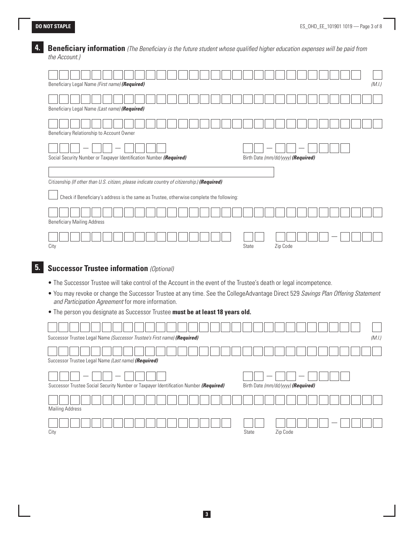## **4. Beneficiary information** *(The Beneficiary is the future student whose qualified higher education expenses will be paid from the Account.)*

| Beneficiary Legal Name (First name) (Required)                                                                                                                                                                                                                                                                                                                                                                                                                                                                                                                                                                                    |                                                                                          |  |  |  |  |  |  |  |  |       |                                    |          |  |  |  |  |  | (M.I.) |
|-----------------------------------------------------------------------------------------------------------------------------------------------------------------------------------------------------------------------------------------------------------------------------------------------------------------------------------------------------------------------------------------------------------------------------------------------------------------------------------------------------------------------------------------------------------------------------------------------------------------------------------|------------------------------------------------------------------------------------------|--|--|--|--|--|--|--|--|-------|------------------------------------|----------|--|--|--|--|--|--------|
| Beneficiary Legal Name (Last name) (Required)                                                                                                                                                                                                                                                                                                                                                                                                                                                                                                                                                                                     |                                                                                          |  |  |  |  |  |  |  |  |       |                                    |          |  |  |  |  |  |        |
|                                                                                                                                                                                                                                                                                                                                                                                                                                                                                                                                                                                                                                   |                                                                                          |  |  |  |  |  |  |  |  |       |                                    |          |  |  |  |  |  |        |
| Beneficiary Relationship to Account Owner<br>Social Security Number or Taxpayer Identification Number (Required)                                                                                                                                                                                                                                                                                                                                                                                                                                                                                                                  |                                                                                          |  |  |  |  |  |  |  |  |       | Birth Date (mm/dd/yyyy) (Required) |          |  |  |  |  |  |        |
| Citizenship (If other than U.S. citizen, please indicate country of citizenship.) (Required)                                                                                                                                                                                                                                                                                                                                                                                                                                                                                                                                      |                                                                                          |  |  |  |  |  |  |  |  |       |                                    |          |  |  |  |  |  |        |
|                                                                                                                                                                                                                                                                                                                                                                                                                                                                                                                                                                                                                                   | Check if Beneficiary's address is the same as Trustee, otherwise complete the following: |  |  |  |  |  |  |  |  |       |                                    |          |  |  |  |  |  |        |
| <b>Beneficiary Mailing Address</b>                                                                                                                                                                                                                                                                                                                                                                                                                                                                                                                                                                                                |                                                                                          |  |  |  |  |  |  |  |  |       |                                    |          |  |  |  |  |  |        |
|                                                                                                                                                                                                                                                                                                                                                                                                                                                                                                                                                                                                                                   |                                                                                          |  |  |  |  |  |  |  |  |       |                                    |          |  |  |  |  |  |        |
|                                                                                                                                                                                                                                                                                                                                                                                                                                                                                                                                                                                                                                   |                                                                                          |  |  |  |  |  |  |  |  | State |                                    | Zip Code |  |  |  |  |  |        |
| and Participation Agreement for more information.                                                                                                                                                                                                                                                                                                                                                                                                                                                                                                                                                                                 |                                                                                          |  |  |  |  |  |  |  |  |       |                                    |          |  |  |  |  |  |        |
|                                                                                                                                                                                                                                                                                                                                                                                                                                                                                                                                                                                                                                   |                                                                                          |  |  |  |  |  |  |  |  |       |                                    |          |  |  |  |  |  |        |
|                                                                                                                                                                                                                                                                                                                                                                                                                                                                                                                                                                                                                                   |                                                                                          |  |  |  |  |  |  |  |  |       |                                    |          |  |  |  |  |  |        |
|                                                                                                                                                                                                                                                                                                                                                                                                                                                                                                                                                                                                                                   |                                                                                          |  |  |  |  |  |  |  |  |       |                                    |          |  |  |  |  |  |        |
| City<br><b>Successor Trustee information (Optional)</b><br>. The Successor Trustee will take control of the Account in the event of the Trustee's death or legal incompetence.<br>• You may revoke or change the Successor Trustee at any time. See the CollegeAdvantage Direct 529 Savings Plan Offering Statement<br>. The person you designate as Successor Trustee must be at least 18 years old.<br>Successor Trustee Legal Name (Successor Trustee's First name) (Required)<br>Successor Trustee Legal Name (Last name) (Required)<br>Successor Trustee Social Security Number or Taxpayer Identification Number (Required) |                                                                                          |  |  |  |  |  |  |  |  |       | Birth Date (mm/dd/yyyy) (Required) |          |  |  |  |  |  |        |
| <b>Mailing Address</b>                                                                                                                                                                                                                                                                                                                                                                                                                                                                                                                                                                                                            |                                                                                          |  |  |  |  |  |  |  |  |       |                                    |          |  |  |  |  |  | (M.I.) |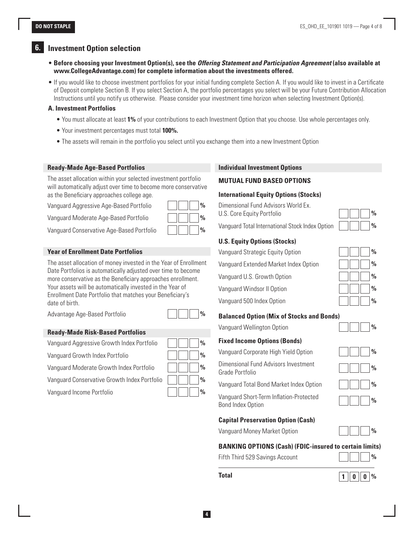### **6. Investment Option selection**

- **Before choosing your Investment Option(s), see the** *Offering Statement and Participation Agreement* **(also available at www.CollegeAdvantage.com) for complete information about the investments offered.**
- If you would like to choose investment portfolios for your initial funding complete Section A. If you would like to invest in a Certificate of Deposit complete Section B. If you select Section A, the portfolio percentages you select will be your Future Contribution Allocation Instructions until you notify us otherwise. Please consider your investment time horizon when selecting Investment Option(s).

#### **A. Investment Portfolios**

- You must allocate at least **1%** of your contributions to each Investment Option that you choose. Use whole percentages only.
- Your investment percentages must total **100%.**
- The assets will remain in the portfolio you select until you exchange them into a new Investment Option

#### **Ready-Made Age-Based Portfolios**

The asset allocation within your selected investment portfolio will automatically adjust over time to become more conservative as the Beneficiary approaches college age.

Vanguard Aggressive Age-Based Portfolio **%**

Vanguard Moderate Age-Based Portfolio **%**

Vanguard Conservative Age-Based Portfolio **%**

#### **Year of Enrollment Date Portfolios**

The asset allocation of money invested in the Year of Enrollment Date Portfolios is automatically adjusted over time to become more conservative as the Beneficiary approaches enrollment. Your assets will be automatically invested in the Year of Enrollment Date Portfolio that matches your Beneficiary's date of birth.

Advantage Age-Based Portfolio **%**

#### **Ready-Made Risk-Based Portfolios**

Vanguard Aggressive Growth Index Portfol

Vanguard Growth Index Portfolio **%**

**Vanguard Moderate Growth Index Portfolio** 

Vanguard Conservative Growth Index Port<sup>ol</sup>

Vanguard Income Portfolio **%**

| lio   | $\frac{0}{0}$ |
|-------|---------------|
|       | $\frac{0}{0}$ |
| 0     | $\frac{0}{0}$ |
| folio | $\frac{0}{0}$ |
|       | $\frac{0}{0}$ |

#### **Individual Investment Options**

#### **MUTUAL FUND BASED OPTIONS**

#### **International Equity Options (Stocks)**

Dimensional Fund Advisors World Ex. U.S. Core Equity Portfolio

Vanguard Total International Stock Index Option **%**

#### **U.S. Equity Options (Stocks)**

Vanguard Strategic Equity Option **%** Vanguard Extended Market Index Option **%**

Vanguard U.S. Growth Option **%**

Vanguard Windsor II Option **%**

Vanguard 500 Index Option **%**

#### **Balanced Option (Mix of Stocks and Bonds)**

Vanguard Wellington Option **%**

#### **Fixed Income Options (Bonds)**

Vanguard Corporate High Yield Option **%**

Dimensional Fund Advisors Investment Grade Portfolio **%**

Vanguard Total Bond Market Index Option **%**

Vanguard Short-Term Inflation-Protected **Bond Index Option** 

#### **Capital Preservation Option (Cash)**

Vanguard Money Market Option **%**

#### **BANKING OPTIONS (Cash) (FDIC-insured to certain limits)**

| Fifth Third 529 Savings Account |  |  |  | $\sqrt{2}$ |
|---------------------------------|--|--|--|------------|
|---------------------------------|--|--|--|------------|



|  | $\frac{0}{0}$ |
|--|---------------|
|  | $\frac{0}{0}$ |

| 70            |  |  |
|---------------|--|--|
| $\frac{0}{0}$ |  |  |
| $\frac{0}{0}$ |  |  |
| $\frac{0}{0}$ |  |  |
| $\frac{0}{0}$ |  |  |

| $\frac{0}{0}$ |  |
|---------------|--|
| $\frac{0}{0}$ |  |
| v             |  |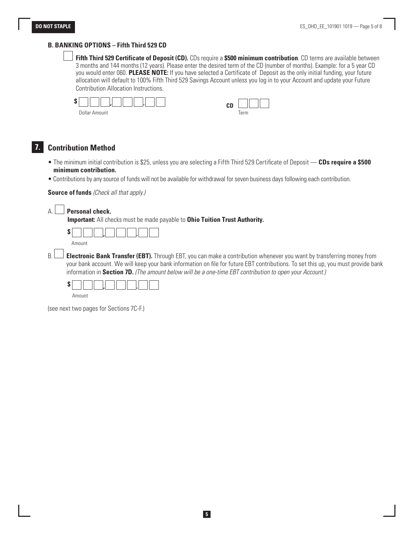#### **B. BANKING OPTIONS – Fifth Third 529 CD**

 **Fifth Third 529 Certificate of Deposit (CD).** CDs require a **\$500 minimum contribution**. CD terms are available between 3 months and 144 months (12 years). Please enter the desired term of the CD (number of months). Example: for a 5 year CD you would enter 060. **PLEASE NOTE:** If you have selected a Certificate of Deposit as the only initial funding, your future allocation will default to 100% Fifth Third 529 Savings Account unless you log in to your Account and update your Future Contribution Allocation Instructions.



## **7. Contribution Method**

- The minimum initial contribution is \$25, unless you are selecting a Fifth Third 529 Certificate of Deposit **CDs require a \$500 minimum contribution.**
- Contributions by any source of funds will not be available for withdrawal for seven business days following each contribution.

#### **Source of funds** *(Check all that apply.)*



**Important:** All checks must be made payable to **Ohio Tuition Trust Authority.**



B. **Electronic Bank Transfer (EBT).** Through EBT, you can make a contribution whenever you want by transferring money from your bank account. We will keep your bank information on file for future EBT contributions. To set this up, you must provide bank information in **Section 7D.** *(The amount below will be a one-time EBT contribution to open your Account.)*

Amount

(see next two pages for Sections 7C-F.)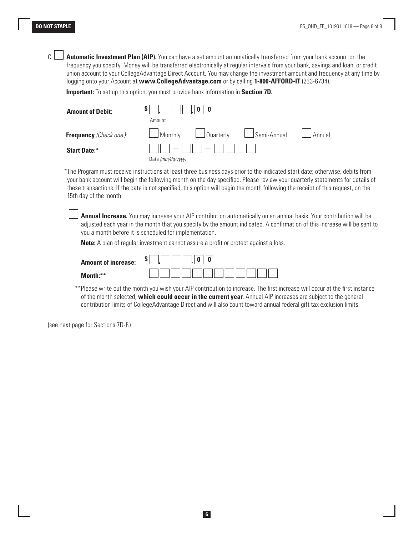C. **Automatic Investment Plan (AIP).** You can have a set amount automatically transferred from your bank account on the frequency you specify. Money will be transferred electronically at regular intervals from your bank, savings and loan, or credit union account to your CollegeAdvantage Direct Account. You may change the investment amount and frequency at any time by logging onto your Account at **www.CollegeAdvantage.com** or by calling **1-800-AFFORD-IT** (233-6734).

 **Important:** To set up this option, you must provide bank information in **Section 7D.**

| <b>Amount of Debit:</b>        |                                                    |  |  |
|--------------------------------|----------------------------------------------------|--|--|
|                                | Amount                                             |  |  |
| <b>Frequency</b> (Check one.): | Quarterly LSemi-Annual<br>$\Box$ Monthly<br>Annual |  |  |
| <b>Start Date:*</b>            | $1 - 1$ 11 1<br>$\overline{\phantom{a}}$           |  |  |
|                                | Date (mm/dd/yyyy)                                  |  |  |

\*The Program must receive instructions at least three business days prior to the indicated start date; otherwise, debits from your bank account will begin the following month on the day specified. Please review your quarterly statements for details of these transactions. If the date is not specified, this option will begin the month following the receipt of this request, on the 15th day of the month.

 **Annual Increase.** You may increase your AIP contribution automatically on an annual basis. Your contribution will be adjusted each year in the month that you specify by the amount indicated. A confirmation of this increase will be sent to you a month before it is scheduled for implementation.

**Note:** A plan of regular investment cannot assure a profit or protect against a loss.

| <b>Amount of increase:</b> | ◡ |
|----------------------------|---|
| $M$ onth $**$              |   |

 \*\*Please write out the month you wish your AIP contribution to increase. The first increase will occur at the first instance of the month selected, **which could occur in the current year**. Annual AIP increases are subject to the general contribution limits of CollegeAdvantage Direct and will also count toward annual federal gift tax exclusion limits.

(see next page for Sections 7D-F.)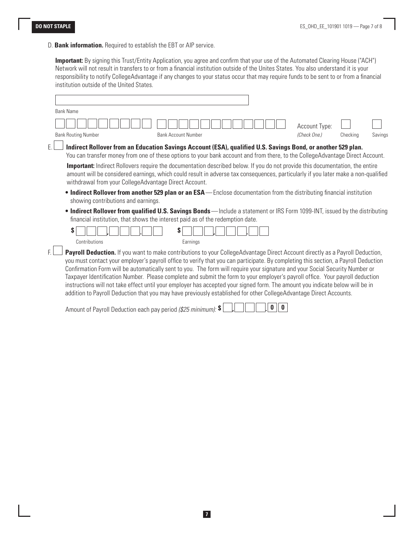D. **Bank information.** Required to establish the EBT or AIP service.

 **Important:** By signing this Trust/Entity Application, you agree and confirm that your use of the Automated Clearing House ("ACH") Network will not result in transfers to or from a financial institution outside of the Unites States. You also understand it is your responsibility to notify CollegeAdvantage if any changes to your status occur that may require funds to be sent to or from a financial institution outside of the United States.

|    | <b>Bank Name</b>                                                                                                                                                                                                                                                                                                                                                                                                                                                                                                                                                                                                                                                                                                                                                                             |  |  |  |  |
|----|----------------------------------------------------------------------------------------------------------------------------------------------------------------------------------------------------------------------------------------------------------------------------------------------------------------------------------------------------------------------------------------------------------------------------------------------------------------------------------------------------------------------------------------------------------------------------------------------------------------------------------------------------------------------------------------------------------------------------------------------------------------------------------------------|--|--|--|--|
|    | Account Type:                                                                                                                                                                                                                                                                                                                                                                                                                                                                                                                                                                                                                                                                                                                                                                                |  |  |  |  |
|    | (Check One.)<br><b>Bank Routing Number</b><br><b>Bank Account Number</b><br>Checking<br>Savings                                                                                                                                                                                                                                                                                                                                                                                                                                                                                                                                                                                                                                                                                              |  |  |  |  |
| Ē. | Indirect Rollover from an Education Savings Account (ESA), qualified U.S. Savings Bond, or another 529 plan.<br>You can transfer money from one of these options to your bank account and from there, to the CollegeAdvantage Direct Account.                                                                                                                                                                                                                                                                                                                                                                                                                                                                                                                                                |  |  |  |  |
|    | <b>Important:</b> Indirect Rollovers require the documentation described below. If you do not provide this documentation, the entire<br>amount will be considered earnings, which could result in adverse tax consequences, particularly if you later make a non-qualified<br>withdrawal from your CollegeAdvantage Direct Account.                                                                                                                                                                                                                                                                                                                                                                                                                                                          |  |  |  |  |
|    | • Indirect Rollover from another 529 plan or an ESA—Enclose documentation from the distributing financial institution<br>showing contributions and earnings.                                                                                                                                                                                                                                                                                                                                                                                                                                                                                                                                                                                                                                 |  |  |  |  |
|    | • Indirect Rollover from qualified U.S. Savings Bonds—Include a statement or IRS Form 1099-INT, issued by the distributing<br>financial institution, that shows the interest paid as of the redemption date.                                                                                                                                                                                                                                                                                                                                                                                                                                                                                                                                                                                 |  |  |  |  |
|    | S<br>S<br>Contributions<br>Earnings                                                                                                                                                                                                                                                                                                                                                                                                                                                                                                                                                                                                                                                                                                                                                          |  |  |  |  |
| Ē. | Payroll Deduction. If you want to make contributions to your CollegeAdvantage Direct Account directly as a Payroll Deduction,<br>you must contact your employer's payroll office to verify that you can participate. By completing this section, a Payroll Deduction<br>Confirmation Form will be automatically sent to you. The form will require your signature and your Social Security Number or<br>Taxpayer Identification Number. Please complete and submit the form to your employer's payroll office. Your payroll deduction<br>instructions will not take effect until your employer has accepted your signed form. The amount you indicate below will be in<br>addition to Payroll Deduction that you may have previously established for other CollegeAdvantage Direct Accounts. |  |  |  |  |

Amount of Payroll Deduction each pay period *(\$25 minimum):* **\$ , . 0 0**